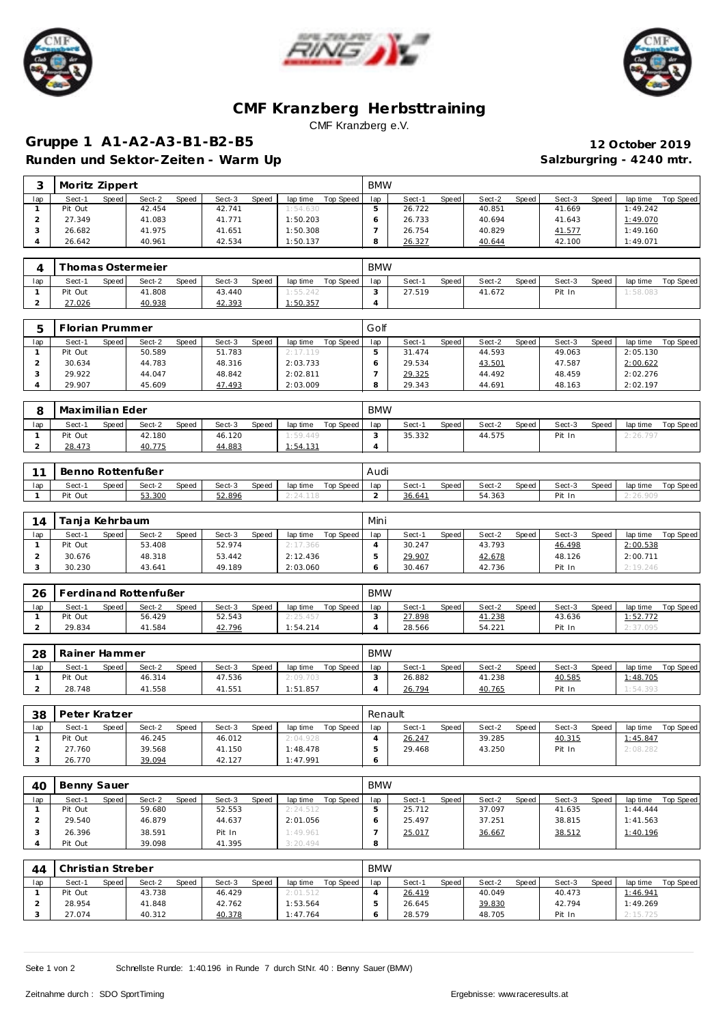





## **CMF Kranzberg Herbsttraining** CMF Kranzberg e.V.

Speed Sect-2 Speed Sect-3 Speed lap time Top Speed lap Sect-1 Speed Sect-2 Speed Sect-3 Speed lap time Top Speed

## **Gruppe 1 A1-A2-A3-B1-B2-B5 12 October 2019** Runden und Sektor-Zeiten - Warm Up **Salzburgring - 4240 mtr.** Salzburgring - 4240 mtr.

**3** Moritz Zippert<br> **1ap** Sect-1 Speed Sect-2 Speed Sect-3 Speed laptime Top Speed lap

| $\mathbf{1}$   | Pit Out           |       | 42.454                |       | 42.741 |       | 1:54.630 |                    | 5              | 26.722 |              | 40.851 |       | 41.669 |       | 1:49.242 |                  |
|----------------|-------------------|-------|-----------------------|-------|--------|-------|----------|--------------------|----------------|--------|--------------|--------|-------|--------|-------|----------|------------------|
| 2              | 27.349            |       | 41.083                |       | 41.771 |       | 1:50.203 |                    | 6              | 26.733 |              | 40.694 |       | 41.643 |       | 1:49.070 |                  |
| 3              | 26.682            |       | 41.975                |       | 41.651 |       | 1:50.308 |                    | $\overline{7}$ | 26.754 |              | 40.829 |       | 41.577 |       | 1:49.160 |                  |
| $\overline{4}$ | 26.642            |       | 40.961                |       | 42.534 |       | 1:50.137 |                    | 8              | 26.327 |              | 40.644 |       | 42.100 |       | 1:49.071 |                  |
|                |                   |       |                       |       |        |       |          |                    |                |        |              |        |       |        |       |          |                  |
| 4              |                   |       | Thomas Ostermeier     |       |        |       |          |                    | <b>BMW</b>     |        |              |        |       |        |       |          |                  |
|                |                   |       |                       |       |        |       |          |                    |                |        |              |        |       |        |       |          |                  |
| lap            | Sect-1            | Speed | Sect-2                | Speed | Sect-3 | Speed |          | lap time Top Speed | lap            | Sect-1 | <b>Speed</b> | Sect-2 | Speed | Sect-3 | Speed | lap time | <b>Top Speed</b> |
| $\mathbf{1}$   | Pit Out           |       | 41.808                |       | 43.440 |       | 1:55.242 |                    | 3              | 27.519 |              | 41.672 |       | Pit In |       | 1:58.083 |                  |
| $\overline{a}$ | 27.026            |       | 40.938                |       | 42.393 |       | 1:50.357 |                    | $\overline{4}$ |        |              |        |       |        |       |          |                  |
|                |                   |       |                       |       |        |       |          |                    |                |        |              |        |       |        |       |          |                  |
| 5              | Florian Prummer   |       |                       |       |        |       |          |                    | Golf           |        |              |        |       |        |       |          |                  |
| lap            | Sect-1            | Speed | Sect-2                | Speed | Sect-3 | Speed |          | lap time Top Speed | lap            | Sect-1 | Speed        | Sect-2 | Speed | Sect-3 | Speed | lap time | Top Speed        |
| $\mathbf{1}$   | Pit Out           |       | 50.589                |       | 51.783 |       | 2:17.119 |                    | 5              | 31.474 |              | 44.593 |       | 49.063 |       | 2:05.130 |                  |
| 2              | 30.634            |       | 44.783                |       | 48.316 |       | 2:03.733 |                    | 6              | 29.534 |              | 43.501 |       | 47.587 |       | 2:00.622 |                  |
| 3              | 29.922            |       | 44.047                |       | 48.842 |       | 2:02.811 |                    | $\overline{7}$ | 29.325 |              | 44.492 |       | 48.459 |       | 2:02.276 |                  |
| $\overline{4}$ | 29.907            |       | 45.609                |       | 47.493 |       | 2:03.009 |                    | 8              | 29.343 |              | 44.691 |       | 48.163 |       | 2:02.197 |                  |
|                |                   |       |                       |       |        |       |          |                    |                |        |              |        |       |        |       |          |                  |
|                |                   |       |                       |       |        |       |          |                    | <b>BMW</b>     |        |              |        |       |        |       |          |                  |
| 8              | Maximilian Eder   |       |                       |       |        |       |          |                    |                |        |              |        |       |        |       |          |                  |
| lap            | Sect-1            | Speed | Sect-2                | Speed | Sect-3 | Speed |          | lap time Top Speed | lap            | Sect-1 | Speed        | Sect-2 | Speed | Sect-3 | Speed | lap time | <b>Top Speed</b> |
| $\mathbf{1}$   | Pit Out           |       | 42.180                |       | 46.120 |       | 1:59.449 |                    | 3              | 35.332 |              | 44.575 |       | Pit In |       | 2:26.797 |                  |
| $\overline{2}$ | 28.473            |       | 40.775                |       | 44.883 |       | 1:54.131 |                    | $\overline{4}$ |        |              |        |       |        |       |          |                  |
|                |                   |       |                       |       |        |       |          |                    |                |        |              |        |       |        |       |          |                  |
| 11             | Benno Rottenfußer |       |                       |       |        |       |          |                    | Audi           |        |              |        |       |        |       |          |                  |
| lap            | Sect-1            | Speed | Sect-2                | Speed | Sect-3 | Speed | lap time | Top Speed          | lap            | Sect-1 | Speed        | Sect-2 | Speed | Sect-3 | Speed | lap time | Top Speed        |
| $\mathbf{1}$   | Pit Out           |       | 53.300                |       | 52.896 |       | 2:24.118 |                    | 2              | 36.641 |              | 54.363 |       | Pit In |       | 2:26.909 |                  |
|                |                   |       |                       |       |        |       |          |                    |                |        |              |        |       |        |       |          |                  |
|                |                   |       |                       |       |        |       |          |                    | Mini           |        |              |        |       |        |       |          |                  |
| 14             | Tanja Kehrbaum    |       |                       |       |        |       |          |                    |                |        |              |        |       |        |       |          |                  |
| lap            | Sect-1            | Speed | Sect-2                | Speed | Sect-3 | Speed | lap time | Top Speed          | lap            | Sect-1 | Speed        | Sect-2 | Speed | Sect-3 | Speed | lap time | <b>Top Speed</b> |
| $\mathbf{1}$   | Pit Out           |       | 53.408                |       | 52.974 |       | 2:17.366 |                    | $\overline{4}$ | 30.247 |              | 43.793 |       | 46.498 |       | 2:00.538 |                  |
| $\overline{2}$ | 30.676            |       | 48.318                |       | 53.442 |       | 2:12.436 |                    | 5              | 29.907 |              | 42.678 |       | 48.126 |       | 2:00.711 |                  |
| 3              | 30.230            |       | 43.641                |       | 49.189 |       | 2:03.060 |                    | 6              | 30.467 |              | 42.736 |       | Pit In |       | 2:19.246 |                  |
|                |                   |       |                       |       |        |       |          |                    |                |        |              |        |       |        |       |          |                  |
| 26             |                   |       | Ferdinand Rottenfußer |       |        |       |          |                    | <b>BMW</b>     |        |              |        |       |        |       |          |                  |
| lap            | Sect-1            | Speed | Sect-2                | Speed | Sect-3 | Speed |          | lap time Top Speed | lap            | Sect-1 | Speed        | Sect-2 | Speed | Sect-3 | Speed | lap time | Top Speed        |
| $\mathbf{1}$   | Pit Out           |       | 56.429                |       | 52.543 |       | 2:25.457 |                    | 3              | 27.898 |              | 41.238 |       | 43.636 |       | 1:52.772 |                  |
| $\overline{c}$ | 29.834            |       | 41.584                |       | 42.796 |       | 1:54.214 |                    | $\overline{4}$ | 28.566 |              | 54.221 |       | Pit In |       | 2:37.095 |                  |
|                |                   |       |                       |       |        |       |          |                    |                |        |              |        |       |        |       |          |                  |
|                |                   |       |                       |       |        |       |          |                    |                |        |              |        |       |        |       |          |                  |
| 28             | Rainer Hammer     |       |                       |       |        |       |          |                    | <b>BMW</b>     |        |              |        |       |        |       |          |                  |
| lap            | Sect-1            | Speed | Sect-2                | Speed | Sect-3 | Speed | lap time | Top Speed          | lap            | Sect-1 | Speed        | Sect-2 | Speed | Sect-3 | Speed | lap time | Top Speed        |
| $\mathbf{1}$   | Pit Out           |       | 46.314                |       | 47.536 |       | 2:09.703 |                    | 3              | 26.882 |              | 41.238 |       | 40.585 |       | 1:48.705 |                  |
| $\overline{2}$ | 28.748            |       | 41.558                |       | 41.551 |       | 1:51.857 |                    | $\overline{4}$ | 26.794 |              | 40.765 |       | Pit In |       | 1:54.393 |                  |
|                |                   |       |                       |       |        |       |          |                    |                |        |              |        |       |        |       |          |                  |
| 38             | Peter Kratzer     |       |                       |       |        |       |          |                    | Renault        |        |              |        |       |        |       |          |                  |
| lap            | Sect-1            | Speed | Sect-2                | Speed | Sect-3 | Speed |          | lap time Top Speed | lap            | Sect-1 | <b>Speed</b> | Sect-2 | Speed | Sect-3 | Speed | lap time | Top Speed        |
| $\mathbf{1}$   | Pit Out           |       | 46.245                |       | 46.012 |       | 2:04.928 |                    | $\overline{4}$ | 26.247 |              | 39.285 |       | 40.315 |       | 1:45.847 |                  |
| 2              | 27.760            |       | 39.568                |       | 41.150 |       | 1:48.478 |                    | 5              | 29.468 |              | 43.250 |       | Pit In |       | 2:08.282 |                  |
| 3              | 26.770            |       | 39.094                |       | 42.127 |       | 1:47.991 |                    | 6              |        |              |        |       |        |       |          |                  |
|                |                   |       |                       |       |        |       |          |                    |                |        |              |        |       |        |       |          |                  |
|                | $10$ Report Sauer |       |                       |       |        |       |          |                    |                |        |              |        |       |        |       |          |                  |
|                |                   |       |                       |       |        |       |          |                    | <b>RMM</b>     |        |              |        |       |        |       |          |                  |

| 40  | Benny Sauer |       |        |       |        |       |          |           | <b>BMW</b> |        |       |        |       |        |       |                 |           |
|-----|-------------|-------|--------|-------|--------|-------|----------|-----------|------------|--------|-------|--------|-------|--------|-------|-----------------|-----------|
| lap | Sect-1      | Speed | Sect-2 | Speed | Sect-3 | Speed | lap time | Top Speed | lap        | Sect-1 | Speed | Sect-2 | Speed | Sect-3 | Speed | lap time        | Top Speed |
|     | Pit Out     |       | 59.680 |       | 52.553 |       | 2:24.512 |           |            | 25.712 |       | 37.097 |       | 41.635 |       | 1:44.444        |           |
|     | 29.540      |       | 46.879 |       | 44.637 |       | 2:01.056 |           |            | 25.497 |       | 37.251 |       | 38.815 |       | 1:41.563        |           |
|     | 26.396      |       | 38.591 |       | Pit In |       | 1:49.961 |           |            | 25.017 |       | 36.667 |       | 38.512 |       | <u>1:40.196</u> |           |
|     | Pit Out     |       | 39.098 |       | 41.395 |       | 3:20.494 |           | 8          |        |       |        |       |        |       |                 |           |

| 44  | Christian Streber |       |        |       |        | <b>BMW</b> |          |           |     |        |       |        |       |        |              |          |           |
|-----|-------------------|-------|--------|-------|--------|------------|----------|-----------|-----|--------|-------|--------|-------|--------|--------------|----------|-----------|
| lap | Sect-1            | Speed | Sect-2 | Speed | Sect-3 | Speed      | lap time | Top Speed | lap | Sect-1 | Speed | Sect-2 | Speed | Sect-3 | <b>Speed</b> | lap time | Top Speed |
|     | Pit Out           |       | 43.738 |       | 46.429 |            | 2:01.512 |           |     | 26.419 |       | 40.049 |       | 40.473 |              | 1:46.941 |           |
|     | 28.954            |       | 41.848 |       | 42.762 |            | 1:53.564 |           |     | 26.645 |       | 39.830 |       | 42.794 |              | 1:49.269 |           |
|     | 27.074            |       | 40.312 |       | 40.378 |            | 1:47.764 |           |     | 28.579 |       | 48.705 |       | Pit In |              | 2:15.725 |           |

Seite 1 von 2 Schnellste Runde: 1:40.196 in Runde 7 durch StNr. 40 : Benny Sauer (BMW)